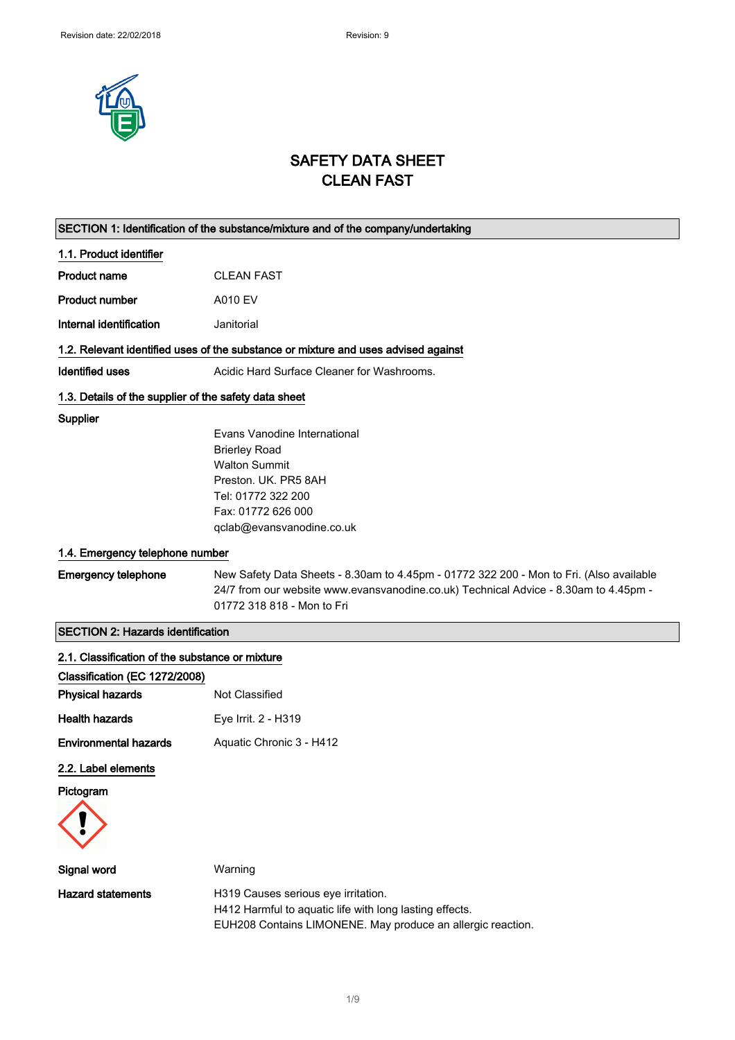

# SAFETY DATA SHEET CLEAN FAST

| SECTION 1: Identification of the substance/mixture and of the company/undertaking |                                                                                                                                                                                                               |  |
|-----------------------------------------------------------------------------------|---------------------------------------------------------------------------------------------------------------------------------------------------------------------------------------------------------------|--|
| 1.1. Product identifier                                                           |                                                                                                                                                                                                               |  |
| <b>Product name</b>                                                               | <b>CLEAN FAST</b>                                                                                                                                                                                             |  |
| <b>Product number</b>                                                             | A010 EV                                                                                                                                                                                                       |  |
| Internal identification                                                           | Janitorial                                                                                                                                                                                                    |  |
|                                                                                   | 1.2. Relevant identified uses of the substance or mixture and uses advised against                                                                                                                            |  |
| <b>Identified uses</b>                                                            | Acidic Hard Surface Cleaner for Washrooms.                                                                                                                                                                    |  |
| 1.3. Details of the supplier of the safety data sheet                             |                                                                                                                                                                                                               |  |
| <b>Supplier</b>                                                                   | Evans Vanodine International<br><b>Brierley Road</b><br><b>Walton Summit</b><br>Preston, UK, PR5 8AH<br>Tel: 01772 322 200<br>Fax: 01772 626 000<br>qclab@evansvanodine.co.uk                                 |  |
| 1.4. Emergency telephone number                                                   |                                                                                                                                                                                                               |  |
| <b>Emergency telephone</b>                                                        | New Safety Data Sheets - 8.30am to 4.45pm - 01772 322 200 - Mon to Fri. (Also available<br>24/7 from our website www.evansvanodine.co.uk) Technical Advice - 8.30am to 4.45pm -<br>01772 318 818 - Mon to Fri |  |
| <b>SECTION 2: Hazards identification</b>                                          |                                                                                                                                                                                                               |  |
| 2.1. Classification of the substance or mixture                                   |                                                                                                                                                                                                               |  |
| Classification (EC 1272/2008)                                                     |                                                                                                                                                                                                               |  |
| <b>Physical hazards</b>                                                           | Not Classified                                                                                                                                                                                                |  |
| <b>Health hazards</b>                                                             | Eye Irrit. 2 - H319                                                                                                                                                                                           |  |
| <b>Environmental hazards</b>                                                      | Aquatic Chronic 3 - H412                                                                                                                                                                                      |  |
| 2.2. Label elements                                                               |                                                                                                                                                                                                               |  |
| Pictogram                                                                         |                                                                                                                                                                                                               |  |
|                                                                                   |                                                                                                                                                                                                               |  |
| Signal word                                                                       | Warning                                                                                                                                                                                                       |  |
| <b>Hazard statements</b>                                                          | H319 Causes serious eye irritation.<br>H412 Harmful to aquatic life with long lasting effects.<br>EUH208 Contains LIMONENE. May produce an allergic reaction.                                                 |  |
|                                                                                   |                                                                                                                                                                                                               |  |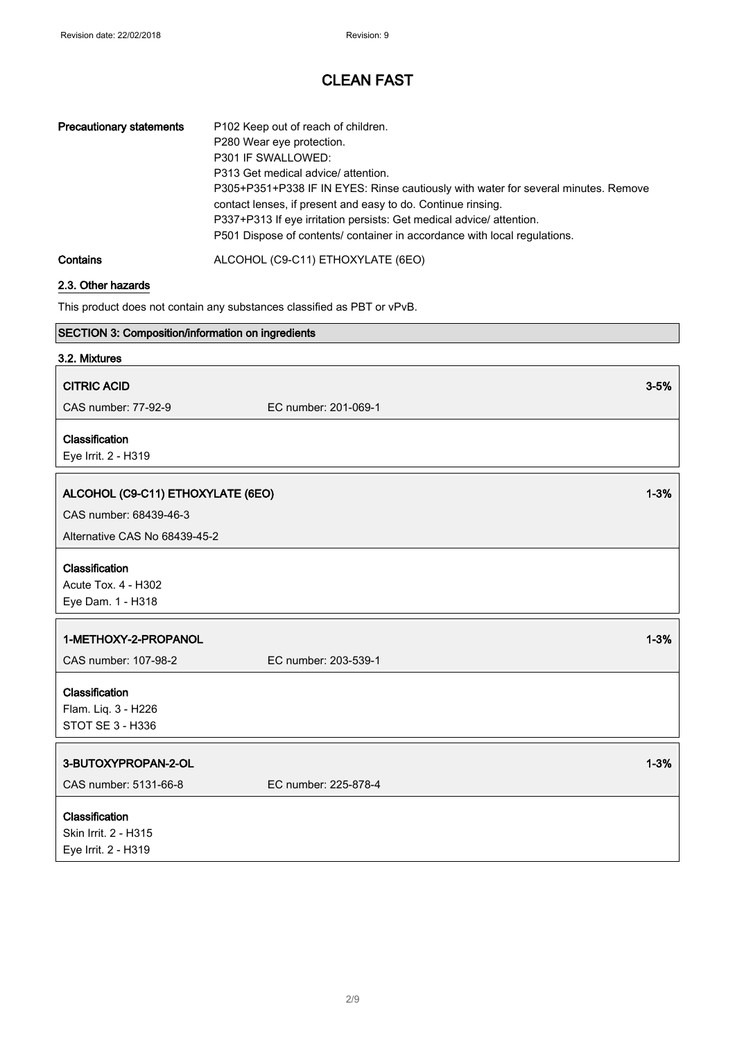| <b>Precautionary statements</b> | P102 Keep out of reach of children.<br>P280 Wear eye protection.<br>P301 IF SWALLOWED:<br>P313 Get medical advice/ attention.<br>P305+P351+P338 IF IN EYES: Rinse cautiously with water for several minutes. Remove<br>contact lenses, if present and easy to do. Continue rinsing.<br>P337+P313 If eye irritation persists: Get medical advice/attention.<br>P501 Dispose of contents/ container in accordance with local regulations. |
|---------------------------------|-----------------------------------------------------------------------------------------------------------------------------------------------------------------------------------------------------------------------------------------------------------------------------------------------------------------------------------------------------------------------------------------------------------------------------------------|
| Contains                        | ALCOHOL (C9-C11) ETHOXYLATE (6EO)                                                                                                                                                                                                                                                                                                                                                                                                       |

### 2.3. Other hazards

This product does not contain any substances classified as PBT or vPvB.

| <b>SECTION 3: Composition/information on ingredients</b> |                      |          |
|----------------------------------------------------------|----------------------|----------|
| 3.2. Mixtures                                            |                      |          |
| <b>CITRIC ACID</b>                                       |                      | $3 - 5%$ |
| CAS number: 77-92-9                                      | EC number: 201-069-1 |          |
| Classification                                           |                      |          |
| Eye Irrit. 2 - H319                                      |                      |          |
| ALCOHOL (C9-C11) ETHOXYLATE (6EO)                        |                      | $1 - 3%$ |
|                                                          |                      |          |
| CAS number: 68439-46-3                                   |                      |          |
| Alternative CAS No 68439-45-2                            |                      |          |
| Classification                                           |                      |          |
| Acute Tox. 4 - H302                                      |                      |          |
| Eye Dam. 1 - H318                                        |                      |          |
| 1-METHOXY-2-PROPANOL                                     |                      | $1 - 3%$ |
| CAS number: 107-98-2                                     | EC number: 203-539-1 |          |
|                                                          |                      |          |
| Classification                                           |                      |          |
| Flam. Liq. 3 - H226                                      |                      |          |
| STOT SE 3 - H336                                         |                      |          |
| 3-BUTOXYPROPAN-2-OL                                      |                      | $1 - 3%$ |
|                                                          |                      |          |
| CAS number: 5131-66-8                                    | EC number: 225-878-4 |          |
| Classification                                           |                      |          |
| Skin Irrit. 2 - H315                                     |                      |          |
| Eye Irrit. 2 - H319                                      |                      |          |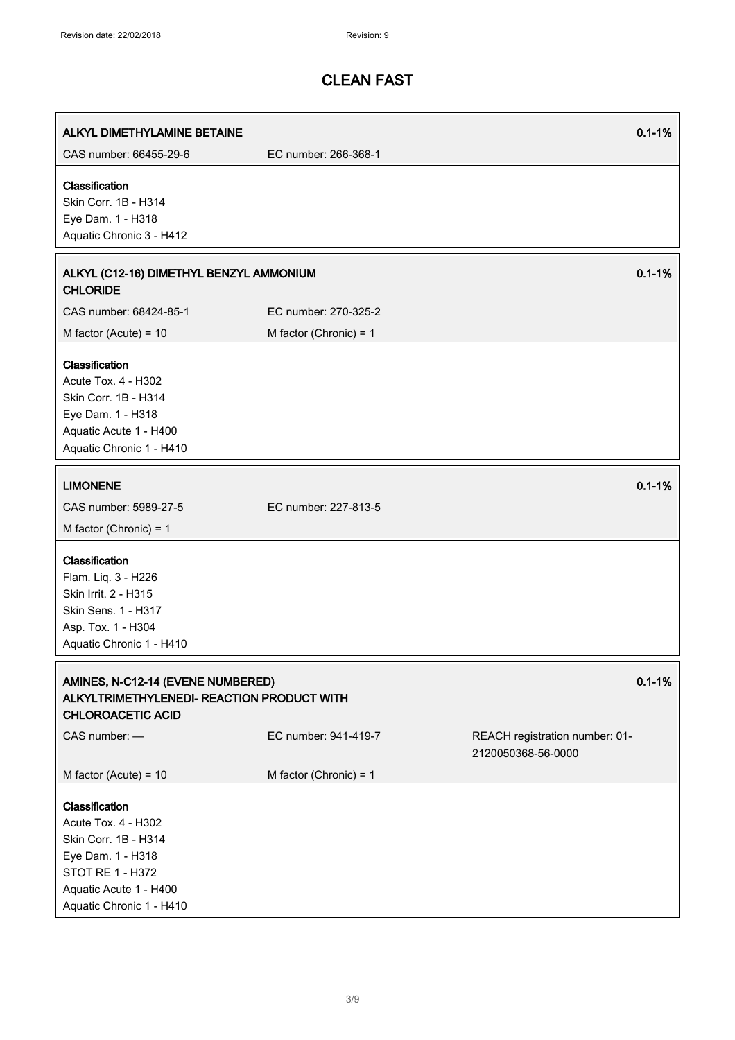r

# CLEAN FAST

| ALKYL DIMETHYLAMINE BETAINE                                                                                                                                  |                          | $0.1 - 1%$                                           |
|--------------------------------------------------------------------------------------------------------------------------------------------------------------|--------------------------|------------------------------------------------------|
| CAS number: 66455-29-6                                                                                                                                       | EC number: 266-368-1     |                                                      |
| Classification<br>Skin Corr. 1B - H314<br>Eye Dam. 1 - H318<br>Aquatic Chronic 3 - H412                                                                      |                          |                                                      |
| ALKYL (C12-16) DIMETHYL BENZYL AMMONIUM<br><b>CHLORIDE</b>                                                                                                   |                          | $0.1 - 1%$                                           |
| CAS number: 68424-85-1                                                                                                                                       | EC number: 270-325-2     |                                                      |
| M factor (Acute) = $10$                                                                                                                                      | M factor (Chronic) = $1$ |                                                      |
| Classification<br>Acute Tox. 4 - H302<br>Skin Corr. 1B - H314<br>Eye Dam. 1 - H318<br>Aquatic Acute 1 - H400<br>Aquatic Chronic 1 - H410                     |                          |                                                      |
| <b>LIMONENE</b><br>CAS number: 5989-27-5<br>M factor (Chronic) = $1$                                                                                         | EC number: 227-813-5     | $0.1 - 1%$                                           |
| Classification<br>Flam. Liq. 3 - H226<br>Skin Irrit. 2 - H315<br>Skin Sens. 1 - H317<br>Asp. Tox. 1 - H304<br>Aquatic Chronic 1 - H410                       |                          |                                                      |
| AMINES, N-C12-14 (EVENE NUMBERED)<br>ALKYLTRIMETHYLENEDI- REACTION PRODUCT WITH<br><b>CHLOROACETIC ACID</b>                                                  |                          | $0.1 - 1%$                                           |
| CAS number: -                                                                                                                                                | EC number: 941-419-7     | REACH registration number: 01-<br>2120050368-56-0000 |
| M factor (Acute) = $10$                                                                                                                                      | M factor (Chronic) = $1$ |                                                      |
| Classification<br>Acute Tox. 4 - H302<br>Skin Corr. 1B - H314<br>Eye Dam. 1 - H318<br>STOT RE 1 - H372<br>Aquatic Acute 1 - H400<br>Aquatic Chronic 1 - H410 |                          |                                                      |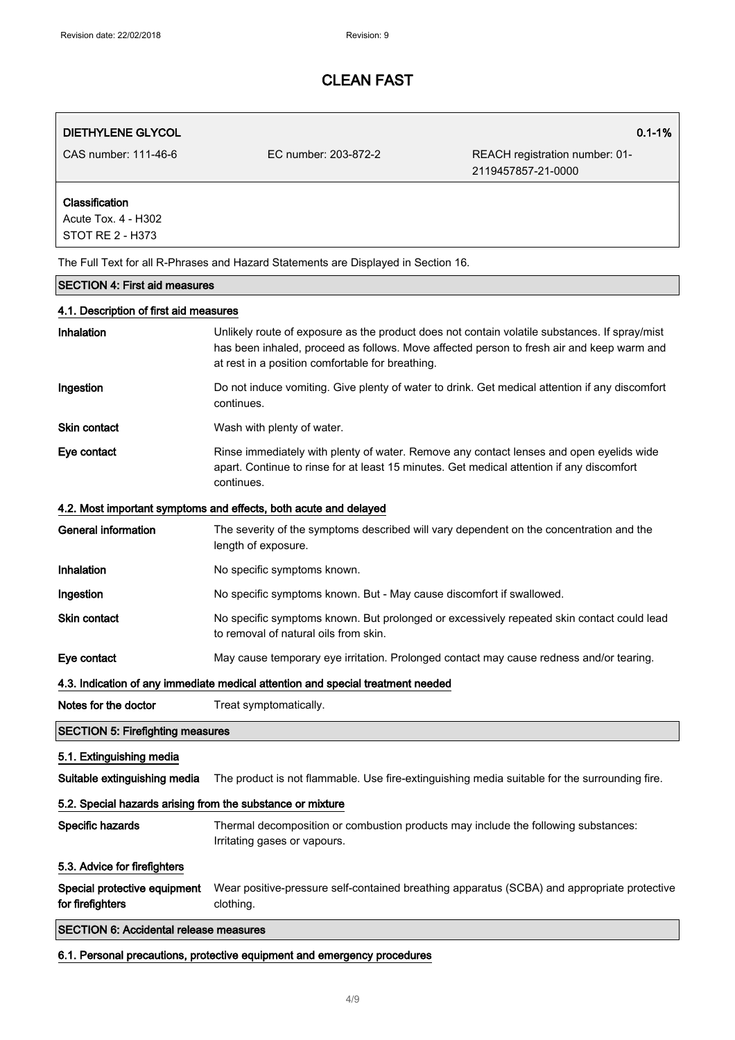### DIETHYLENE GLYCOL 0.1-1%

CAS number: 111-46-6 EC number: 203-872-2 REACH registration number: 01- 2119457857-21-0000

### Classification

Acute Tox. 4 - H302 STOT RE 2 - H373

The Full Text for all R-Phrases and Hazard Statements are Displayed in Section 16.

#### SECTION 4: First aid measures

#### 4.1. Description of first aid measures

| <b>Inhalation</b> | Unlikely route of exposure as the product does not contain volatile substances. If spray/mist<br>has been inhaled, proceed as follows. Move affected person to fresh air and keep warm and<br>at rest in a position comfortable for breathing. |
|-------------------|------------------------------------------------------------------------------------------------------------------------------------------------------------------------------------------------------------------------------------------------|
| Ingestion         | Do not induce vomiting. Give plenty of water to drink. Get medical attention if any discomfort<br>continues.                                                                                                                                   |
| Skin contact      | Wash with plenty of water.                                                                                                                                                                                                                     |
| Eye contact       | Rinse immediately with plenty of water. Remove any contact lenses and open eyelids wide<br>apart. Continue to rinse for at least 15 minutes. Get medical attention if any discomfort<br>continues.                                             |

#### 4.2. Most important symptoms and effects, both acute and delayed

| General information                                                             | The severity of the symptoms described will vary dependent on the concentration and the<br>length of exposure.                     |
|---------------------------------------------------------------------------------|------------------------------------------------------------------------------------------------------------------------------------|
| <b>Inhalation</b>                                                               | No specific symptoms known.                                                                                                        |
| Ingestion                                                                       | No specific symptoms known. But - May cause discomfort if swallowed.                                                               |
| <b>Skin contact</b>                                                             | No specific symptoms known. But prolonged or excessively repeated skin contact could lead<br>to removal of natural oils from skin. |
| Eye contact                                                                     | May cause temporary eye irritation. Prolonged contact may cause redness and/or tearing.                                            |
| 4.3. Indication of any immediate medical attention and special treatment needed |                                                                                                                                    |

Notes for the doctor Treat symptomatically.

# 5.1. Extinguishing media

SECTION 5: Firefighting measures

Suitable extinguishing media The product is not flammable. Use fire-extinguishing media suitable for the surrounding fire.

### 5.2. Special hazards arising from the substance or mixture

Specific hazards Thermal decomposition or combustion products may include the following substances: Irritating gases or vapours.

#### 5.3. Advice for firefighters

Special protective equipment for firefighters Wear positive-pressure self-contained breathing apparatus (SCBA) and appropriate protective clothing.

### SECTION 6: Accidental release measures

6.1. Personal precautions, protective equipment and emergency procedures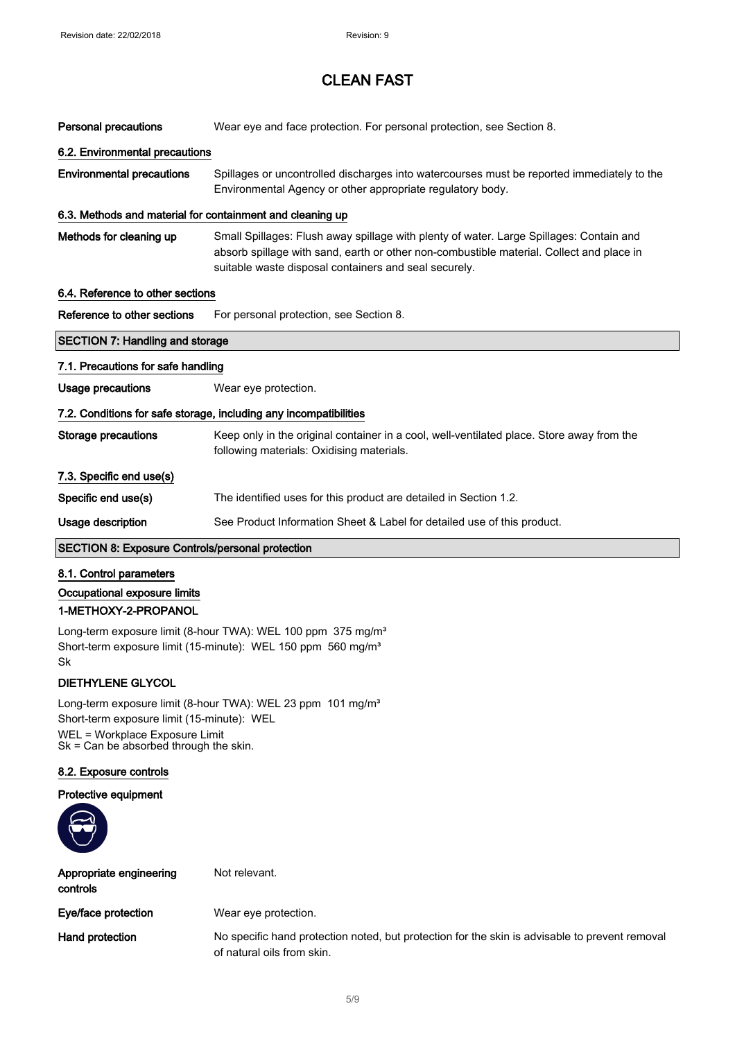| <b>Personal precautions</b>                                       | Wear eye and face protection. For personal protection, see Section 8.                                                                                                                                                                        |  |  |
|-------------------------------------------------------------------|----------------------------------------------------------------------------------------------------------------------------------------------------------------------------------------------------------------------------------------------|--|--|
|                                                                   | 6.2. Environmental precautions                                                                                                                                                                                                               |  |  |
| <b>Environmental precautions</b>                                  | Spillages or uncontrolled discharges into watercourses must be reported immediately to the<br>Environmental Agency or other appropriate regulatory body.                                                                                     |  |  |
| 6.3. Methods and material for containment and cleaning up         |                                                                                                                                                                                                                                              |  |  |
| Methods for cleaning up                                           | Small Spillages: Flush away spillage with plenty of water. Large Spillages: Contain and<br>absorb spillage with sand, earth or other non-combustible material. Collect and place in<br>suitable waste disposal containers and seal securely. |  |  |
| 6.4. Reference to other sections                                  |                                                                                                                                                                                                                                              |  |  |
| Reference to other sections                                       | For personal protection, see Section 8.                                                                                                                                                                                                      |  |  |
| <b>SECTION 7: Handling and storage</b>                            |                                                                                                                                                                                                                                              |  |  |
| 7.1. Precautions for safe handling                                |                                                                                                                                                                                                                                              |  |  |
| Usage precautions                                                 | Wear eye protection.                                                                                                                                                                                                                         |  |  |
| 7.2. Conditions for safe storage, including any incompatibilities |                                                                                                                                                                                                                                              |  |  |
| <b>Storage precautions</b>                                        | Keep only in the original container in a cool, well-ventilated place. Store away from the<br>following materials: Oxidising materials.                                                                                                       |  |  |
| 7.3. Specific end use(s)                                          |                                                                                                                                                                                                                                              |  |  |
| Specific end use(s)                                               | The identified uses for this product are detailed in Section 1.2.                                                                                                                                                                            |  |  |
| Usage description                                                 | See Product Information Sheet & Label for detailed use of this product.                                                                                                                                                                      |  |  |

### SECTION 8: Exposure Controls/personal protection

### 8.1. Control parameters

### Occupational exposure limits 1-METHOXY-2-PROPANOL

Long-term exposure limit (8-hour TWA): WEL 100 ppm 375 mg/m<sup>3</sup> Short-term exposure limit (15-minute): WEL 150 ppm 560 mg/m<sup>3</sup> Sk

### DIETHYLENE GLYCOL

Long-term exposure limit (8-hour TWA): WEL 23 ppm 101 mg/m<sup>3</sup> Short-term exposure limit (15-minute): WEL WEL = Workplace Exposure Limit Sk = Can be absorbed through the skin.

#### 8.2. Exposure controls

#### Protective equipment



| Appropriate engineering<br>controls | Not relevant.                                                                                                                |
|-------------------------------------|------------------------------------------------------------------------------------------------------------------------------|
| Eye/face protection                 | Wear eye protection.                                                                                                         |
| <b>Hand protection</b>              | No specific hand protection noted, but protection for the skin is advisable to prevent removal<br>of natural oils from skin. |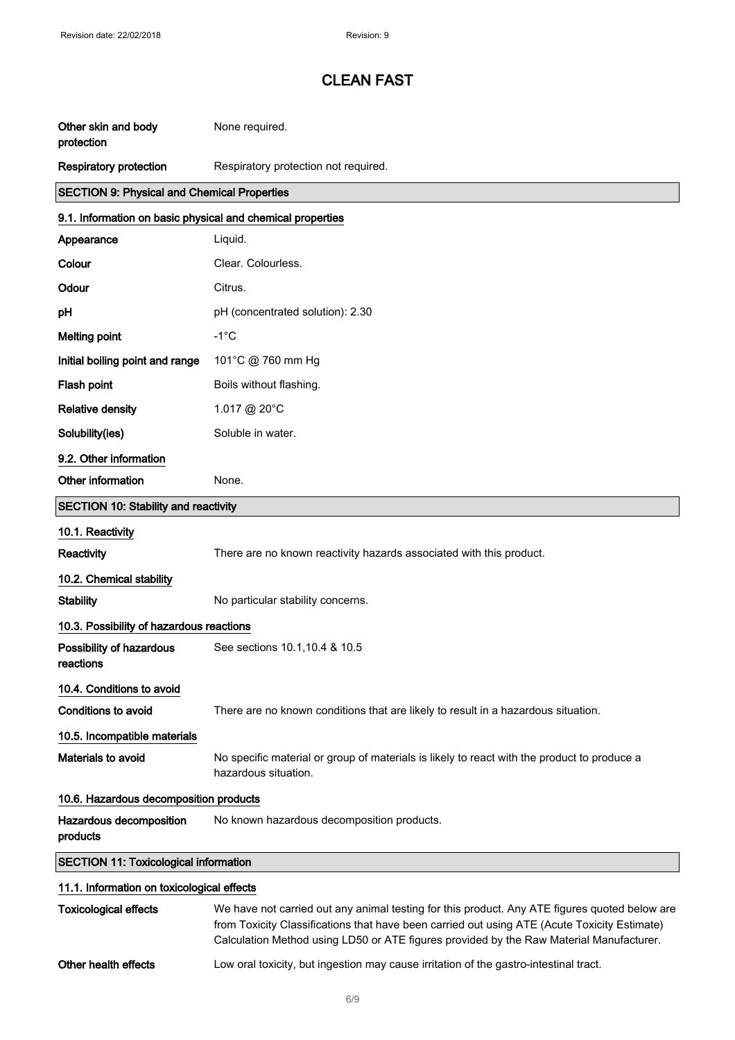| Other skin and body<br>protection                          | None required.                                                                                                                                                                                |  |
|------------------------------------------------------------|-----------------------------------------------------------------------------------------------------------------------------------------------------------------------------------------------|--|
| <b>Respiratory protection</b>                              | Respiratory protection not required.                                                                                                                                                          |  |
| <b>SECTION 9: Physical and Chemical Properties</b>         |                                                                                                                                                                                               |  |
| 9.1. Information on basic physical and chemical properties |                                                                                                                                                                                               |  |
| Appearance                                                 | Liquid.                                                                                                                                                                                       |  |
| Colour                                                     | Clear. Colourless.                                                                                                                                                                            |  |
| Odour                                                      | Citrus.                                                                                                                                                                                       |  |
| рH                                                         | pH (concentrated solution): 2.30                                                                                                                                                              |  |
| <b>Melting point</b>                                       | $-1^{\circ}$ C                                                                                                                                                                                |  |
| Initial boiling point and range                            | 101°C @ 760 mm Hg                                                                                                                                                                             |  |
| Flash point                                                | Boils without flashing.                                                                                                                                                                       |  |
| <b>Relative density</b>                                    | 1.017 @ 20°C                                                                                                                                                                                  |  |
| Solubility(ies)                                            | Soluble in water.                                                                                                                                                                             |  |
| 9.2. Other information                                     |                                                                                                                                                                                               |  |
| Other information                                          | None.                                                                                                                                                                                         |  |
| <b>SECTION 10: Stability and reactivity</b>                |                                                                                                                                                                                               |  |
| 10.1. Reactivity                                           |                                                                                                                                                                                               |  |
| Reactivity                                                 | There are no known reactivity hazards associated with this product.                                                                                                                           |  |
| 10.2. Chemical stability                                   |                                                                                                                                                                                               |  |
| <b>Stability</b>                                           | No particular stability concerns.                                                                                                                                                             |  |
| 10.3. Possibility of hazardous reactions                   |                                                                                                                                                                                               |  |
| Possibility of hazardous<br>reactions                      | See sections 10.1, 10.4 & 10.5                                                                                                                                                                |  |
| 10.4. Conditions to avoid                                  |                                                                                                                                                                                               |  |
| <b>Conditions to avoid</b>                                 | There are no known conditions that are likely to result in a hazardous situation.                                                                                                             |  |
| 10.5. Incompatible materials                               |                                                                                                                                                                                               |  |
| Materials to avoid                                         | No specific material or group of materials is likely to react with the product to produce a<br>hazardous situation.                                                                           |  |
| 10.6. Hazardous decomposition products                     |                                                                                                                                                                                               |  |
| Hazardous decomposition<br>products                        | No known hazardous decomposition products.                                                                                                                                                    |  |
| <b>SECTION 11: Toxicological information</b>               |                                                                                                                                                                                               |  |
| 11.1. Information on toxicological effects                 |                                                                                                                                                                                               |  |
| <b>Toxicological effects</b>                               | We have not carried out any animal testing for this product. Any ATE figures quoted below are<br>from Toxicity Classifications that have been carried out using ATE (Acute Toxicity Estimate) |  |

Calculation Method using LD50 or ATE figures provided by the Raw Material Manufacturer.

Other health effects Low oral toxicity, but ingestion may cause irritation of the gastro-intestinal tract.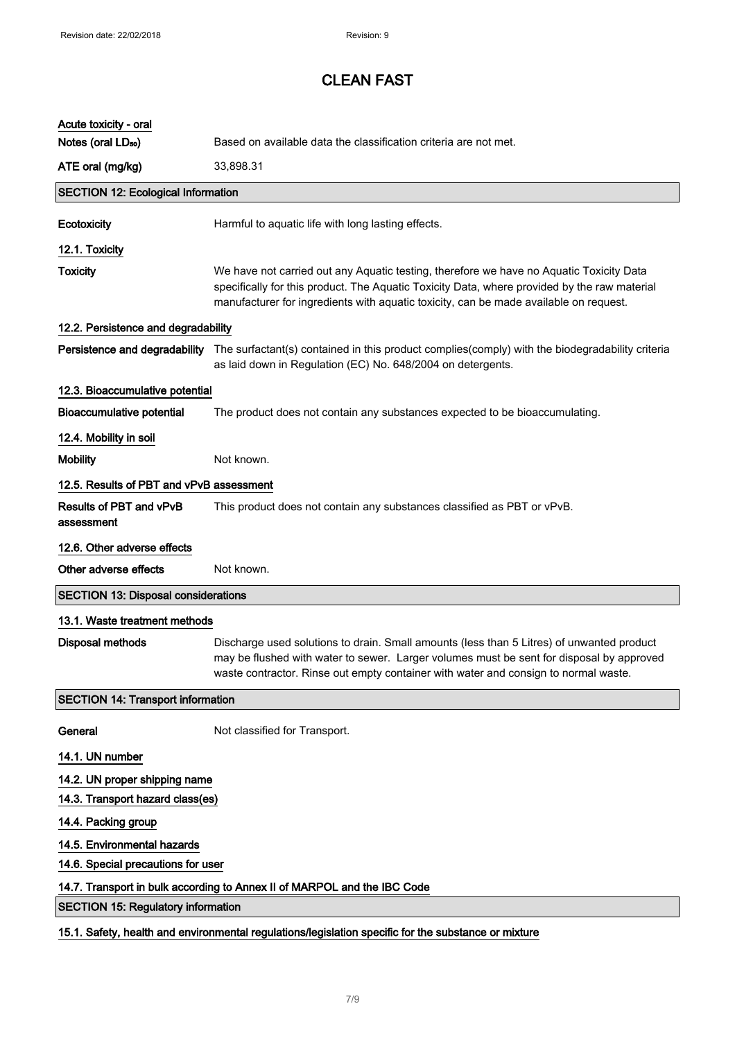| Acute toxicity - oral                                                                                |                                                                                                                                                                                                                                                                                  |  |
|------------------------------------------------------------------------------------------------------|----------------------------------------------------------------------------------------------------------------------------------------------------------------------------------------------------------------------------------------------------------------------------------|--|
| Notes (oral LD <sub>50</sub> )                                                                       | Based on available data the classification criteria are not met.                                                                                                                                                                                                                 |  |
| ATE oral (mg/kg)                                                                                     | 33,898.31                                                                                                                                                                                                                                                                        |  |
| <b>SECTION 12: Ecological Information</b>                                                            |                                                                                                                                                                                                                                                                                  |  |
| Ecotoxicity                                                                                          | Harmful to aquatic life with long lasting effects.                                                                                                                                                                                                                               |  |
| 12.1. Toxicity                                                                                       |                                                                                                                                                                                                                                                                                  |  |
| <b>Toxicity</b>                                                                                      | We have not carried out any Aquatic testing, therefore we have no Aquatic Toxicity Data<br>specifically for this product. The Aquatic Toxicity Data, where provided by the raw material<br>manufacturer for ingredients with aquatic toxicity, can be made available on request. |  |
| 12.2. Persistence and degradability                                                                  |                                                                                                                                                                                                                                                                                  |  |
|                                                                                                      | Persistence and degradability The surfactant(s) contained in this product complies(comply) with the biodegradability criteria<br>as laid down in Regulation (EC) No. 648/2004 on detergents.                                                                                     |  |
| 12.3. Bioaccumulative potential                                                                      |                                                                                                                                                                                                                                                                                  |  |
| <b>Bioaccumulative potential</b>                                                                     | The product does not contain any substances expected to be bioaccumulating.                                                                                                                                                                                                      |  |
| 12.4. Mobility in soil                                                                               |                                                                                                                                                                                                                                                                                  |  |
| <b>Mobility</b>                                                                                      | Not known.                                                                                                                                                                                                                                                                       |  |
| 12.5. Results of PBT and vPvB assessment                                                             |                                                                                                                                                                                                                                                                                  |  |
| Results of PBT and vPvB<br>assessment                                                                | This product does not contain any substances classified as PBT or vPvB.                                                                                                                                                                                                          |  |
| 12.6. Other adverse effects                                                                          |                                                                                                                                                                                                                                                                                  |  |
| Other adverse effects                                                                                | Not known.                                                                                                                                                                                                                                                                       |  |
| <b>SECTION 13: Disposal considerations</b>                                                           |                                                                                                                                                                                                                                                                                  |  |
| 13.1. Waste treatment methods                                                                        |                                                                                                                                                                                                                                                                                  |  |
| <b>Disposal methods</b>                                                                              | Discharge used solutions to drain. Small amounts (less than 5 Litres) of unwanted product<br>may be flushed with water to sewer. Larger volumes must be sent for disposal by approved<br>waste contractor. Rinse out empty container with water and consign to normal waste.     |  |
| <b>SECTION 14: Transport information</b>                                                             |                                                                                                                                                                                                                                                                                  |  |
| General                                                                                              | Not classified for Transport.                                                                                                                                                                                                                                                    |  |
| 14.1. UN number                                                                                      |                                                                                                                                                                                                                                                                                  |  |
| 14.2. UN proper shipping name                                                                        |                                                                                                                                                                                                                                                                                  |  |
| 14.3. Transport hazard class(es)                                                                     |                                                                                                                                                                                                                                                                                  |  |
| 14.4. Packing group                                                                                  |                                                                                                                                                                                                                                                                                  |  |
| 14.5. Environmental hazards                                                                          |                                                                                                                                                                                                                                                                                  |  |
| 14.6. Special precautions for user                                                                   |                                                                                                                                                                                                                                                                                  |  |
| 14.7. Transport in bulk according to Annex II of MARPOL and the IBC Code                             |                                                                                                                                                                                                                                                                                  |  |
| <b>SECTION 15: Regulatory information</b>                                                            |                                                                                                                                                                                                                                                                                  |  |
| 15.1. Safety, health and environmental regulations/legislation specific for the substance or mixture |                                                                                                                                                                                                                                                                                  |  |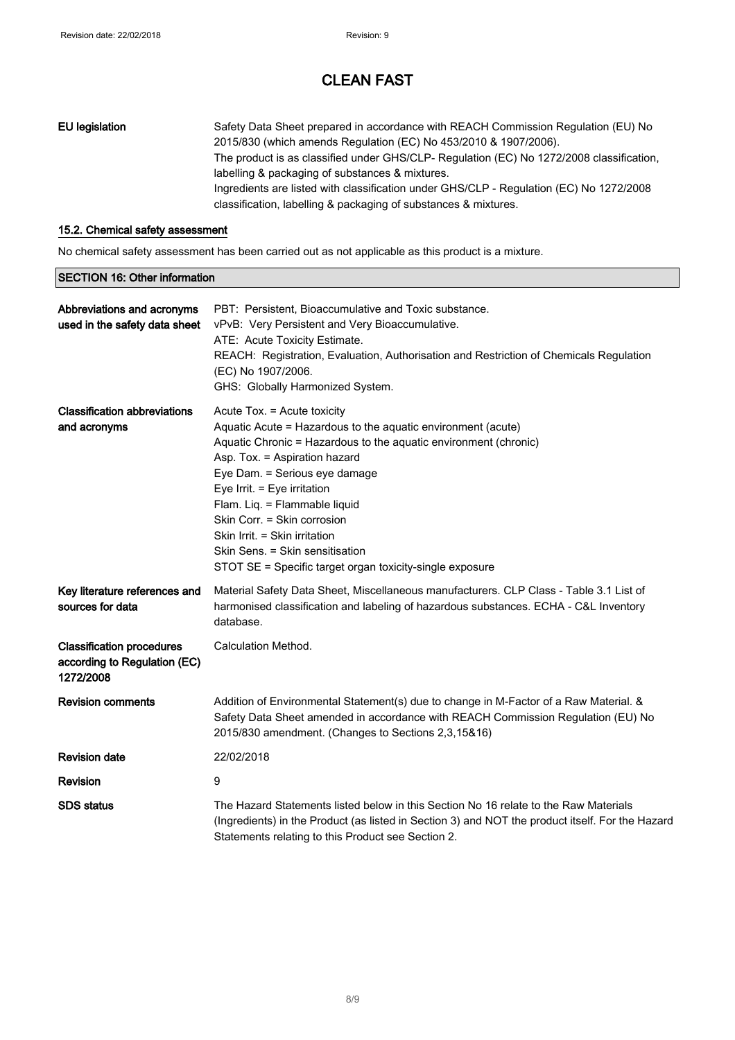| EU legislation | Safety Data Sheet prepared in accordance with REACH Commission Regulation (EU) No        |
|----------------|------------------------------------------------------------------------------------------|
|                | 2015/830 (which amends Regulation (EC) No 453/2010 & 1907/2006).                         |
|                | The product is as classified under GHS/CLP- Regulation (EC) No 1272/2008 classification, |
|                | labelling & packaging of substances & mixtures.                                          |
|                | Ingredients are listed with classification under GHS/CLP - Regulation (EC) No 1272/2008  |
|                | classification, labelling & packaging of substances & mixtures.                          |
|                |                                                                                          |

#### 15.2. Chemical safety assessment

No chemical safety assessment has been carried out as not applicable as this product is a mixture.

| <b>SECTION 16: Other information</b>                                          |                                                                                                                                                                                                                                                                                                                                                                                                                                                                  |
|-------------------------------------------------------------------------------|------------------------------------------------------------------------------------------------------------------------------------------------------------------------------------------------------------------------------------------------------------------------------------------------------------------------------------------------------------------------------------------------------------------------------------------------------------------|
| Abbreviations and acronyms<br>used in the safety data sheet                   | PBT: Persistent, Bioaccumulative and Toxic substance.<br>vPvB: Very Persistent and Very Bioaccumulative.<br>ATE: Acute Toxicity Estimate.<br>REACH: Registration, Evaluation, Authorisation and Restriction of Chemicals Regulation<br>(EC) No 1907/2006.<br>GHS: Globally Harmonized System.                                                                                                                                                                    |
| <b>Classification abbreviations</b><br>and acronyms                           | Acute Tox. = Acute toxicity<br>Aquatic Acute = Hazardous to the aquatic environment (acute)<br>Aquatic Chronic = Hazardous to the aquatic environment (chronic)<br>Asp. Tox. = Aspiration hazard<br>Eye Dam. = Serious eye damage<br>Eye Irrit. = Eye irritation<br>Flam. Liq. = Flammable liquid<br>Skin Corr. = Skin corrosion<br>Skin Irrit. = Skin irritation<br>Skin Sens. = Skin sensitisation<br>STOT SE = Specific target organ toxicity-single exposure |
| Key literature references and<br>sources for data                             | Material Safety Data Sheet, Miscellaneous manufacturers. CLP Class - Table 3.1 List of<br>harmonised classification and labeling of hazardous substances. ECHA - C&L Inventory<br>database.                                                                                                                                                                                                                                                                      |
| <b>Classification procedures</b><br>according to Regulation (EC)<br>1272/2008 | Calculation Method.                                                                                                                                                                                                                                                                                                                                                                                                                                              |
| <b>Revision comments</b>                                                      | Addition of Environmental Statement(s) due to change in M-Factor of a Raw Material. &<br>Safety Data Sheet amended in accordance with REACH Commission Regulation (EU) No<br>2015/830 amendment. (Changes to Sections 2,3,15&16)                                                                                                                                                                                                                                 |
| <b>Revision date</b>                                                          | 22/02/2018                                                                                                                                                                                                                                                                                                                                                                                                                                                       |
| <b>Revision</b>                                                               | 9                                                                                                                                                                                                                                                                                                                                                                                                                                                                |
| <b>SDS</b> status                                                             | The Hazard Statements listed below in this Section No 16 relate to the Raw Materials<br>(Ingredients) in the Product (as listed in Section 3) and NOT the product itself. For the Hazard<br>Statements relating to this Product see Section 2.                                                                                                                                                                                                                   |